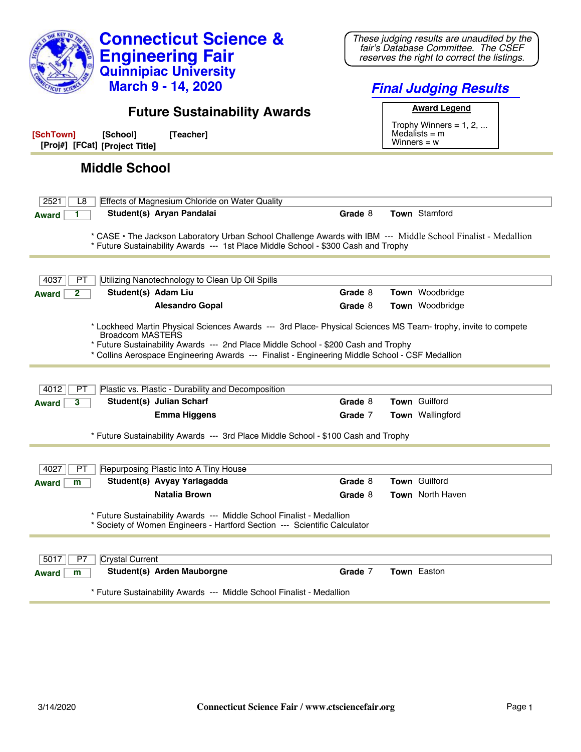| <b>Connecticut Science &amp;</b><br><b>Engineering Fair</b><br><b>Quinnipiac University</b><br><b>March 9 - 14, 2020</b>                                                                                                                                                                                                           | These judging results are unaudited by the<br>fair's Database Committee. The CSEF<br>reserves the right to correct the listings.<br><b>Final Judging Results</b> |
|------------------------------------------------------------------------------------------------------------------------------------------------------------------------------------------------------------------------------------------------------------------------------------------------------------------------------------|------------------------------------------------------------------------------------------------------------------------------------------------------------------|
| <b>Future Sustainability Awards</b>                                                                                                                                                                                                                                                                                                | <b>Award Legend</b>                                                                                                                                              |
| [Teacher]<br>[SchTown]<br>[School]<br>[Proj#] [FCat] [Project Title]                                                                                                                                                                                                                                                               | Trophy Winners = $1, 2, $<br>Medalists $=$ m<br>Winners = $w$                                                                                                    |
| <b>Middle School</b>                                                                                                                                                                                                                                                                                                               |                                                                                                                                                                  |
| Effects of Magnesium Chloride on Water Quality<br>2521<br>L8                                                                                                                                                                                                                                                                       |                                                                                                                                                                  |
| Student(s) Aryan Pandalai<br><b>Award</b>                                                                                                                                                                                                                                                                                          | <b>Town Stamford</b><br>Grade 8                                                                                                                                  |
| * CASE · The Jackson Laboratory Urban School Challenge Awards with IBM --- Middle School Finalist - Medallion<br>* Future Sustainability Awards --- 1st Place Middle School - \$300 Cash and Trophy                                                                                                                                |                                                                                                                                                                  |
| Utilizing Nanotechnology to Clean Up Oil Spills<br>4037<br>PТ                                                                                                                                                                                                                                                                      |                                                                                                                                                                  |
| Student(s) Adam Liu<br>2<br><b>Award</b>                                                                                                                                                                                                                                                                                           | Grade 8<br>Town Woodbridge                                                                                                                                       |
| <b>Alesandro Gopal</b>                                                                                                                                                                                                                                                                                                             | Grade 8<br><b>Town</b> Woodbridge                                                                                                                                |
| * Lockheed Martin Physical Sciences Awards --- 3rd Place- Physical Sciences MS Team- trophy, invite to compete<br><b>Broadcom MASTERS</b><br>* Future Sustainability Awards --- 2nd Place Middle School - \$200 Cash and Trophy<br>* Collins Aerospace Engineering Awards --- Finalist - Engineering Middle School - CSF Medallion |                                                                                                                                                                  |
| Plastic vs. Plastic - Durability and Decomposition<br>4012<br>PT                                                                                                                                                                                                                                                                   |                                                                                                                                                                  |
| Student(s) Julian Scharf<br>3<br><b>Award</b>                                                                                                                                                                                                                                                                                      | <b>Town Guilford</b><br>Grade 8                                                                                                                                  |
| <b>Emma Higgens</b>                                                                                                                                                                                                                                                                                                                | Town Wallingford<br>Grade 7                                                                                                                                      |
| * Future Sustainability Awards --- 3rd Place Middle School - \$100 Cash and Trophy                                                                                                                                                                                                                                                 |                                                                                                                                                                  |
| Repurposing Plastic Into A Tiny House<br>4027<br>PТ                                                                                                                                                                                                                                                                                |                                                                                                                                                                  |
| Student(s) Avyay Yarlagadda<br><b>Award</b><br>m                                                                                                                                                                                                                                                                                   | Town Guilford<br>Grade 8                                                                                                                                         |
| <b>Natalia Brown</b>                                                                                                                                                                                                                                                                                                               | Town North Haven<br>Grade 8                                                                                                                                      |
| * Future Sustainability Awards --- Middle School Finalist - Medallion<br>* Society of Women Engineers - Hartford Section --- Scientific Calculator                                                                                                                                                                                 |                                                                                                                                                                  |
| <b>Crystal Current</b><br>5017<br>P7                                                                                                                                                                                                                                                                                               |                                                                                                                                                                  |
| Student(s) Arden Mauborgne<br>m<br><b>Award</b>                                                                                                                                                                                                                                                                                    | Grade 7<br>Town Easton                                                                                                                                           |
| * Future Sustainability Awards --- Middle School Finalist - Medallion                                                                                                                                                                                                                                                              |                                                                                                                                                                  |